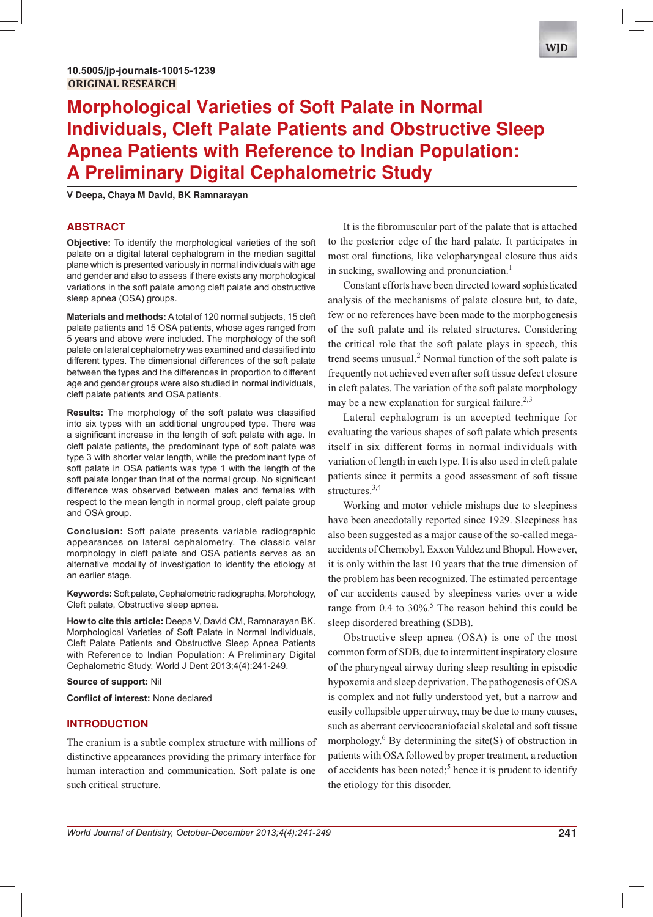# **Morphological Varieties of Soft Palate in Normal Individuals, Cleft Palate Patients and Obstructive Sleep Apnea Patients with Reference to Indian Population: A Preliminary Digital Cephalometric Study**

**V Deepa, Chaya M David, BK Ramnarayan**

# **ABSTRACT**

**Objective:** To identify the morphological varieties of the soft palate on a digital lateral cephalogram in the median sagittal plane which is presented variously in normal individuals with age and gender and also to assess if there exists any morphological variations in the soft palate among cleft palate and obstructive sleep apnea (OSA) groups.

**Materials and methods:** A total of 120 normal subjects, 15 cleft palate patients and 15 OSA patients, whose ages ranged from 5 years and above were included. The morphology of the soft palate on lateral cephalometry was examined and classified into different types. The dimensional differences of the soft palate between the types and the differences in proportion to different age and gender groups were also studied in normal individuals, cleft palate patients and OSA patients.

**Results:** The morphology of the soft palate was classified into six types with an additional ungrouped type. There was a significant increase in the length of soft palate with age. In cleft palate patients, the predominant type of soft palate was type 3 with shorter velar length, while the predominant type of soft palate in OSA patients was type 1 with the length of the soft palate longer than that of the normal group. No significant difference was observed between males and females with respect to the mean length in normal group, cleft palate group and OSA group.

**Conclusion:** Soft palate presents variable radiographic appearances on lateral cephalometry. The classic velar morphology in cleft palate and OSA patients serves as an alternative modality of investigation to identify the etiology at an earlier stage.

**Keywords:** Soft palate, Cephalometric radiographs, Morphology, Cleft palate, Obstructive sleep apnea.

**How to cite this article:** Deepa V, David CM, Ramnarayan BK. Morphological Varieties of Soft Palate in Normal Individuals, Cleft Palate Patients and Obstructive Sleep Apnea Patients with Reference to Indian Population: A Preliminary Digital Cephalometric Study. World J Dent 2013;4(4):241-249.

**Source of support:** Nil

**Conflict of interest: None declared** 

# **INTRODUCTION**

The cranium is a subtle complex structure with millions of distinctive appearances providing the primary interface for human interaction and communication. Soft palate is one such critical structure.

It is the fibromuscular part of the palate that is attached to the posterior edge of the hard palate. It participates in most oral functions, like velopharyngeal closure thus aids in sucking, swallowing and pronunciation.<sup>1</sup>

Constant efforts have been directed toward sophisticated analysis of the mechanisms of palate closure but, to date, few or no references have been made to the morphogenesis of the soft palate and its related structures. Considering the critical role that the soft palate plays in speech, this trend seems unusual.<sup>2</sup> Normal function of the soft palate is frequently not achieved even after soft tissue defect closure in cleft palates. The variation of the soft palate morphology may be a new explanation for surgical failure.<sup>2,3</sup>

Lateral cephalogram is an accepted technique for evaluating the various shapes of soft palate which presents itself in six different forms in normal individuals with variation of length in each type. It is also used in cleft palate patients since it permits a good assessment of soft tissue structures.<sup>3,4</sup>

Working and motor vehicle mishaps due to sleepiness have been anecdotally reported since 1929. Sleepiness has also been suggested as a major cause of the so-called megaaccidents of Chernobyl, Exxon Valdez and Bhopal. However, it is only within the last 10 years that the true dimension of the problem has been recognized. The estimated percentage of car accidents caused by sleepiness varies over a wide range from  $0.4$  to  $30\%$ <sup>5</sup>. The reason behind this could be sleep disordered breathing (SDB).

Obstructive sleep apnea (OSA) is one of the most common form of SDB, due to intermittent inspiratory closure of the pharyngeal airway during sleep resulting in episodic hypoxemia and sleep deprivation. The pathogenesis of OSA is complex and not fully understood yet, but a narrow and easily collapsible upper airway, may be due to many causes, such as aberrant cervicocraniofacial skeletal and soft tissue morphology. $6$  By determining the site(S) of obstruction in patients with OSA followed by proper treatment, a reduction of accidents has been noted;<sup>5</sup> hence it is prudent to identify the etiology for this disorder.

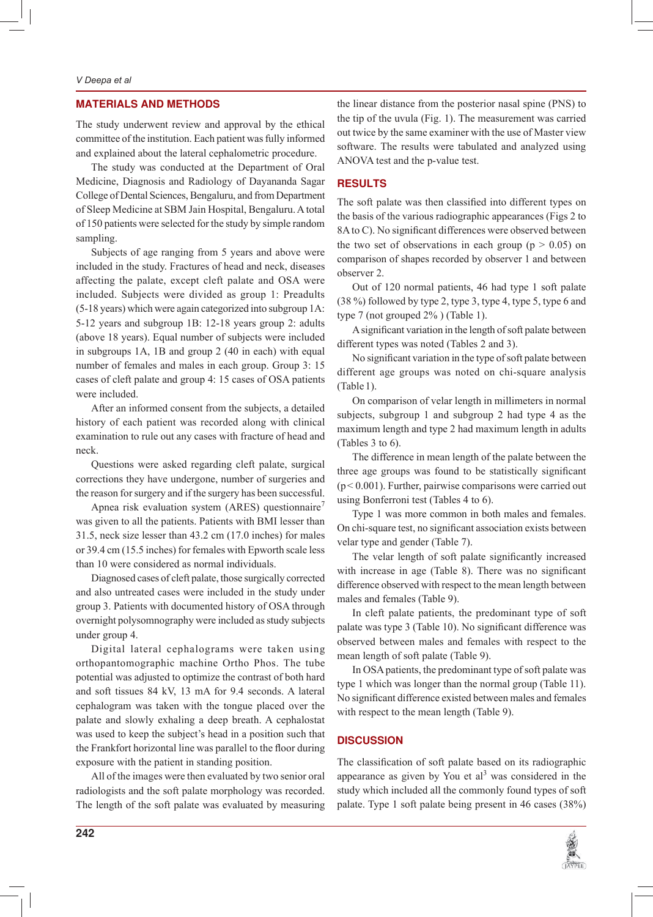#### *V Deepa et al*

# **MATERIALS AND METHODS**

The study underwent review and approval by the ethical committee of the institution. Each patient was fully informed and explained about the lateral cephalometric procedure.

The study was conducted at the Department of Oral Medicine, Diagnosis and Radiology of Dayananda Sagar College of Dental Sciences, Bengaluru, and from Department of Sleep Medicine at SBM Jain Hospital, Bengaluru. A total of 150 patients were selected for the study by simple random sampling.

Subjects of age ranging from 5 years and above were included in the study. Fractures of head and neck, diseases affecting the palate, except cleft palate and OSA were included. Subjects were divided as group 1: Preadults (5-18 years) which were again categorized into subgroup 1A: 5-12 years and subgroup 1B: 12-18 years group 2: adults (above 18 years). Equal number of subjects were included in subgroups 1A, 1B and group 2 (40 in each) with equal number of females and males in each group. Group 3: 15 cases of cleft palate and group 4: 15 cases of OSA patients were included.

After an informed consent from the subjects, a detailed history of each patient was recorded along with clinical examination to rule out any cases with fracture of head and neck.

Questions were asked regarding cleft palate, surgical corrections they have undergone, number of surgeries and the reason for surgery and if the surgery has been successful.

Apnea risk evaluation system (ARES) questionnaire<sup>7</sup> was given to all the patients. Patients with BMI lesser than 31.5, neck size lesser than 43.2 cm (17.0 inches) for males or 39.4 cm (15.5 inches) for females with Epworth scale less than 10 were considered as normal individuals.

Diagnosed cases of cleft palate, those surgically corrected and also untreated cases were included in the study under group 3. Patients with documented history of OSA through overnight polysomnography were included as study subjects under group 4.

Digital lateral cephalograms were taken using orthopantomographic machine Ortho Phos. The tube potential was adjusted to optimize the contrast of both hard and soft tissues 84 kV, 13 mA for 9.4 seconds. A lateral cephalogram was taken with the tongue placed over the palate and slowly exhaling a deep breath. A cephalostat was used to keep the subject's head in a position such that the Frankfort horizontal line was parallel to the floor during exposure with the patient in standing position.

All of the images were then evaluated by two senior oral radiologists and the soft palate morphology was recorded. The length of the soft palate was evaluated by measuring

the linear distance from the posterior nasal spine (PNS) to the tip of the uvula (Fig. 1). The measurement was carried out twice by the same examiner with the use of Master view software. The results were tabulated and analyzed using ANOVA test and the p-value test.

## **RESULTS**

The soft palate was then classified into different types on the basis of the various radiographic appearances (Figs 2 to 8A to C). No significant differences were observed between the two set of observations in each group ( $p > 0.05$ ) on comparison of shapes recorded by observer 1 and between observer 2.

Out of 120 normal patients, 46 had type 1 soft palate (38 %) followed by type 2, type 3, type 4, type 5, type 6 and type 7 (not grouped 2% ) (Table 1).

A significant variation in the length of soft palate between different types was noted (Tables 2 and 3).

No significant variation in the type of soft palate between different age groups was noted on chi-square analysis (Table 1).

On comparison of velar length in millimeters in normal subjects, subgroup 1 and subgroup 2 had type 4 as the maximum length and type 2 had maximum length in adults (Tables 3 to 6).

The difference in mean length of the palate between the three age groups was found to be statistically significant  $(p < 0.001)$ . Further, pairwise comparisons were carried out using Bonferroni test (Tables 4 to 6).

Type 1 was more common in both males and females. On chi-square test, no significant association exists between velar type and gender (Table 7).

The velar length of soft palate significantly increased with increase in age (Table 8). There was no significant difference observed with respect to the mean length between males and females (Table 9).

In cleft palate patients, the predominant type of soft palate was type 3 (Table 10). No significant difference was observed between males and females with respect to the mean length of soft palate (Table 9).

In OSA patients, the predominant type of soft palate was type 1 which was longer than the normal group (Table 11). No significant difference existed between males and females with respect to the mean length (Table 9).

## **DISCUSSION**

The classification of soft palate based on its radiographic appearance as given by You et  $al<sup>3</sup>$  was considered in the study which included all the commonly found types of soft palate. Type 1 soft palate being present in 46 cases (38%)

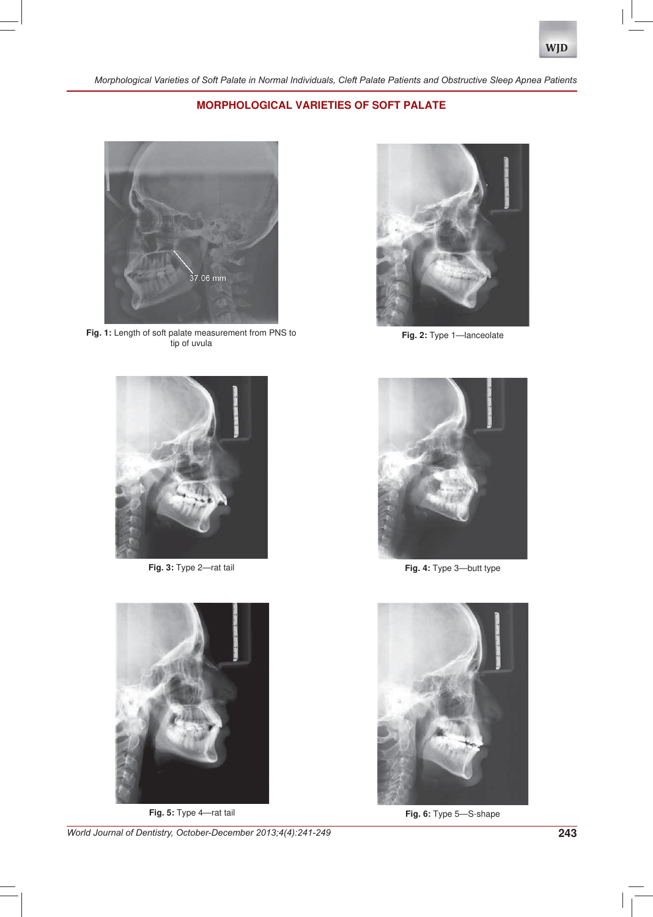# **MORPHOLOGICAL VARIETIES OF SOFT PALATE**



**Fig. 1:** Length of soft palate measurement from PNS to tip of uvula



**Fig. 2:** Type 1—lanceolate





*World Journal of Dentistry, October-December 2013;4(4):241-249* **243**



**Fig. 3:** Type 2—rat tail **Fig. 4:** Type 3—butt type



**Fig. 5:** Type 4—rat tail **Fig. 6:** Type 5—S-shape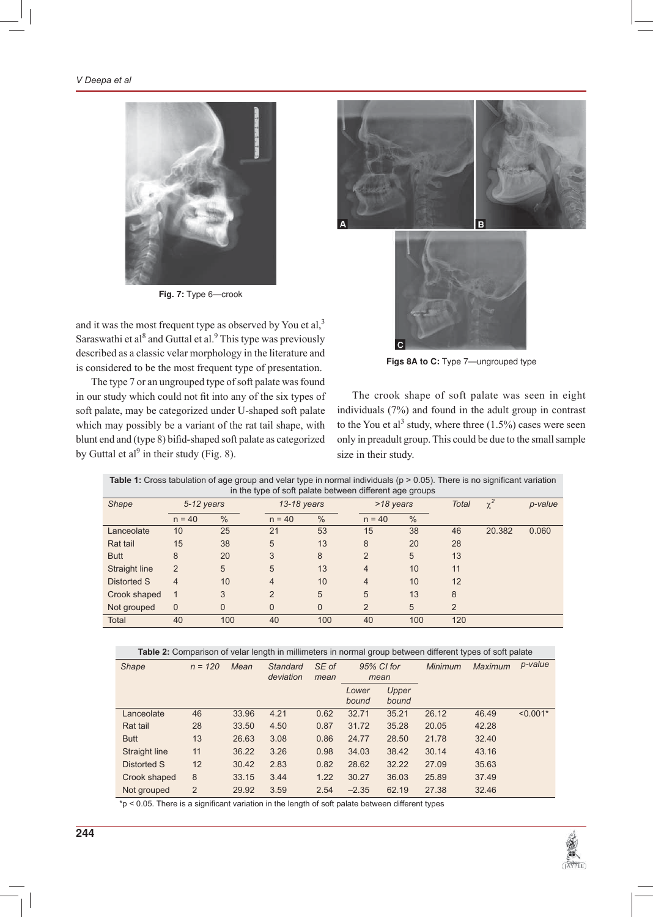

**Fig. 7:** Type 6—crook

and it was the most frequent type as observed by You et  $al$ ,<sup>3</sup> Saraswathi et al<sup>8</sup> and Guttal et al.<sup>9</sup> This type was previously described as a classic velar morphology in the literature and is considered to be the most frequent type of presentation.

The type 7 or an ungrouped type of soft palate was found in our study which could not fit into any of the six types of soft palate, may be categorized under U-shaped soft palate which may possibly be a variant of the rat tail shape, with blunt end and (type 8) bifid-shaped soft palate as categorized by Guttal et al<sup>9</sup> in their study (Fig. 8).





**Figs 8A to C:** Type 7—ungrouped type

The crook shape of soft palate was seen in eight individuals (7%) and found in the adult group in contrast to the You et al<sup>3</sup> study, where three  $(1.5\%)$  cases were seen only in preadult group. This could be due to the small sample size in their study.

| <b>Table 1:</b> Cross tabulation of age group and velar type in normal individuals ( $p > 0.05$ ). There is no significant variation<br>in the type of soft palate between different age groups |               |               |             |               |                |               |              |          |         |
|-------------------------------------------------------------------------------------------------------------------------------------------------------------------------------------------------|---------------|---------------|-------------|---------------|----------------|---------------|--------------|----------|---------|
| <b>Shape</b>                                                                                                                                                                                    | 5-12 years    |               | 13-18 years |               | >18 years      |               | <b>Total</b> | $\chi^2$ | p-value |
|                                                                                                                                                                                                 | $n = 40$      | $\frac{0}{0}$ | $n = 40$    | $\frac{0}{0}$ | $n = 40$       | $\frac{0}{0}$ |              |          |         |
| Lanceolate                                                                                                                                                                                      | 10            | 25            | 21          | 53            | 15             | 38            | 46           | 20.382   | 0.060   |
| Rat tail                                                                                                                                                                                        | 15            | 38            | 5           | 13            | 8              | 20            | 28           |          |         |
| <b>Butt</b>                                                                                                                                                                                     | 8             | 20            | 3           | 8             | 2              | 5             | 13           |          |         |
| Straight line                                                                                                                                                                                   | $\mathcal{P}$ | 5             | 5           | 13            | 4              | 10            | 11           |          |         |
| Distorted S                                                                                                                                                                                     | 4             | 10            | 4           | 10            | $\overline{4}$ | 10            | 12           |          |         |
| Crook shaped                                                                                                                                                                                    |               | 3             | າ           | 5             | 5              | 13            | 8            |          |         |

|  | Table 2: Comparison of velar length in millimeters in normal group between different types of soft palate |
|--|-----------------------------------------------------------------------------------------------------------|
|  |                                                                                                           |

| <b>Shape</b>  | $n = 120$ | Mean  | Standard<br>deviation | SE of<br>mean | 95% CI for<br>mean |                | <b>Minimum</b> | <b>Maximum</b> | p-value    |
|---------------|-----------|-------|-----------------------|---------------|--------------------|----------------|----------------|----------------|------------|
|               |           |       |                       |               | Lower<br>bound     | Upper<br>bound |                |                |            |
| Lanceolate    | 46        | 33.96 | 4.21                  | 0.62          | 32.71              | 35.21          | 26.12          | 46.49          | $< 0.001*$ |
| Rat tail      | 28        | 33.50 | 4.50                  | 0.87          | 31.72              | 35.28          | 20.05          | 42.28          |            |
| <b>Butt</b>   | 13        | 26.63 | 3.08                  | 0.86          | 24.77              | 28.50          | 21.78          | 32.40          |            |
| Straight line | 11        | 36.22 | 3.26                  | 0.98          | 34.03              | 38.42          | 30.14          | 43.16          |            |
| Distorted S   | 12        | 30.42 | 2.83                  | 0.82          | 28.62              | 32.22          | 27.09          | 35.63          |            |
| Crook shaped  | 8         | 33.15 | 3.44                  | 1.22          | 30.27              | 36.03          | 25.89          | 37.49          |            |
| Not grouped   | 2         | 29.92 | 3.59                  | 2.54          | $-2.35$            | 62.19          | 27.38          | 32.46          |            |

 $*p < 0.05$ . There is a significant variation in the length of soft palate between different types

Not grouped 0 0 0 0 2 5 2 Total 40 100 40 100 40 100 120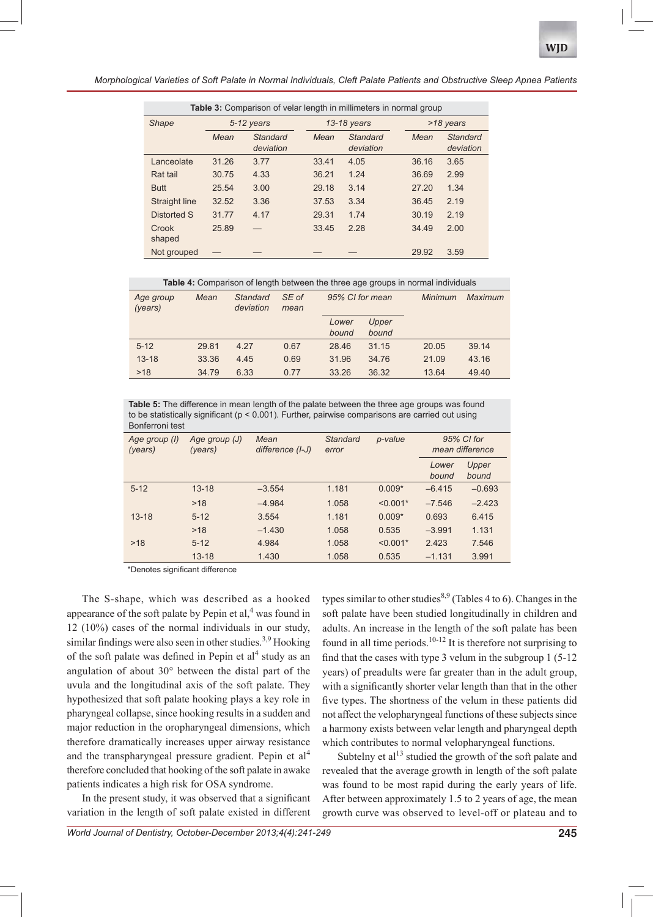*Morphological Varieties of Soft Palate in Normal Individuals, Cleft Palate Patients and Obstructive Sleep Apnea Patients*

| <b>Table 3:</b> Comparison of velar length in millimeters in normal group |       |                       |       |                              |       |                       |  |  |  |
|---------------------------------------------------------------------------|-------|-----------------------|-------|------------------------------|-------|-----------------------|--|--|--|
| <b>Shape</b>                                                              |       | 5-12 years            |       | 13-18 years                  |       | >18 years             |  |  |  |
|                                                                           | Mean  | Standard<br>deviation | Mean  | <b>Standard</b><br>deviation | Mean  | Standard<br>deviation |  |  |  |
| Lanceolate                                                                | 31.26 | 3.77                  | 33.41 | 4.05                         | 36.16 | 3.65                  |  |  |  |
| Rat tail                                                                  | 30.75 | 4.33                  | 36.21 | 1.24                         | 36.69 | 2.99                  |  |  |  |
| <b>Butt</b>                                                               | 25.54 | 3.00                  | 29.18 | 3.14                         | 27.20 | 1.34                  |  |  |  |
| Straight line                                                             | 32.52 | 3.36                  | 37.53 | 3.34                         | 36.45 | 2.19                  |  |  |  |
| Distorted S                                                               | 31.77 | 4.17                  | 29.31 | 1.74                         | 30.19 | 2.19                  |  |  |  |
| Crook<br>shaped                                                           | 25.89 |                       | 33.45 | 2.28                         | 34.49 | 2.00                  |  |  |  |
| Not grouped                                                               |       |                       |       |                              | 29.92 | 3.59                  |  |  |  |

**Table 4:** Comparison of length between the three age groups in normal individuals

| Age group<br>(years) | Mean  | Standard<br>deviation | SE of<br>mean | 95% CI for mean |                | Minimum | Maximum |
|----------------------|-------|-----------------------|---------------|-----------------|----------------|---------|---------|
|                      |       |                       |               | Lower<br>bound  | Upper<br>bound |         |         |
| $5 - 12$             | 29.81 | 4.27                  | 0.67          | 28.46           | 31.15          | 20.05   | 39.14   |
| $13 - 18$            | 33.36 | 4.45                  | 0.69          | 31.96           | 34.76          | 21.09   | 43.16   |
| >18                  | 34.79 | 6.33                  | 0.77          | 33.26           | 36.32          | 13.64   | 49.40   |

**Table 5:** The difference in mean length of the palate between the three age groups was found to be statistically significant ( $p < 0.001$ ). Further, pairwise comparisons are carried out using Bonferroni test

| Age group (I)<br>(years) | Age group (J)<br>(years) | Mean<br>difference (I-J) | <b>Standard</b><br>error | p-value    | 95% CI for<br>mean difference |                |
|--------------------------|--------------------------|--------------------------|--------------------------|------------|-------------------------------|----------------|
|                          |                          |                          |                          |            | Lower<br>bound                | Upper<br>bound |
| $5 - 12$                 | $13 - 18$                | $-3.554$                 | 1.181                    | $0.009*$   | $-6.415$                      | $-0.693$       |
|                          | >18                      | $-4.984$                 | 1.058                    | $< 0.001*$ | $-7.546$                      | $-2.423$       |
| $13 - 18$                | $5 - 12$                 | 3.554                    | 1.181                    | $0.009*$   | 0.693                         | 6.415          |
|                          | >18                      | $-1.430$                 | 1.058                    | 0.535      | $-3.991$                      | 1.131          |
| >18                      | $5 - 12$                 | 4.984                    | 1.058                    | $< 0.001*$ | 2.423                         | 7.546          |
|                          | $13 - 18$                | 1.430                    | 1.058                    | 0.535      | $-1.131$                      | 3.991          |

\*Denotes significant difference

The S-shape, which was described as a hooked appearance of the soft palate by Pepin et al, $<sup>4</sup>$  was found in</sup> 12 (10%) cases of the normal individuals in our study, similar findings were also seen in other studies.<sup>3,9</sup> Hooking of the soft palate was defined in Pepin et  $al<sup>4</sup>$  study as an angulation of about 30° between the distal part of the uvula and the longitudinal axis of the soft palate. They hypothesized that soft palate hooking plays a key role in pharyngeal collapse, since hooking results in a sudden and major reduction in the oropharyngeal dimensions, which therefore dramatically increases upper airway resistance and the transpharyngeal pressure gradient. Pepin et al<sup>4</sup> therefore concluded that hooking of the soft palate in awake patients indicates a high risk for OSA syndrome.

In the present study, it was observed that a significant variation in the length of soft palate existed in different types similar to other studies<sup>8,9</sup> (Tables 4 to 6). Changes in the soft palate have been studied longitudinally in children and adults. An increase in the length of the soft palate has been found in all time periods.<sup>10-12</sup> It is therefore not surprising to find that the cases with type 3 velum in the subgroup  $1(5-12)$ years) of preadults were far greater than in the adult group, with a significantly shorter velar length than that in the other five types. The shortness of the velum in these patients did not affect the velopharyngeal functions of these subjects since a harmony exists between velar length and pharyngeal depth which contributes to normal velopharyngeal functions.

Subtelny et al<sup>13</sup> studied the growth of the soft palate and revealed that the average growth in length of the soft palate was found to be most rapid during the early years of life. After between approximately 1.5 to 2 years of age, the mean growth curve was observed to level-off or plateau and to

*World Journal of Dentistry, October-December 2013;4(4):241-249* **245**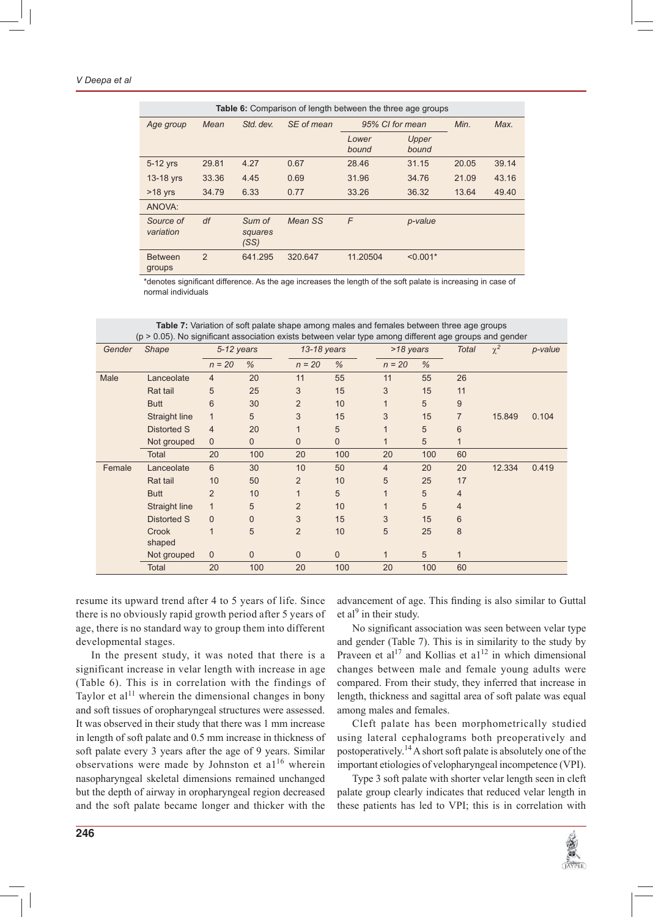#### *V Deepa et al*

|                          | <b>Table 6:</b> Comparison of length between the three age groups |                           |            |                 |                |       |       |  |  |  |
|--------------------------|-------------------------------------------------------------------|---------------------------|------------|-----------------|----------------|-------|-------|--|--|--|
| Age group                | Mean                                                              | Std. dev.                 | SE of mean | 95% CI for mean |                | Min.  | Max.  |  |  |  |
|                          |                                                                   |                           |            | Lower<br>bound  | Upper<br>bound |       |       |  |  |  |
| 5-12 yrs                 | 29.81                                                             | 4.27                      | 0.67       | 28.46           | 31.15          | 20.05 | 39.14 |  |  |  |
| 13-18 yrs                | 33.36                                                             | 4.45                      | 0.69       | 31.96           | 34.76          | 21.09 | 43.16 |  |  |  |
| $>18$ yrs                | 34.79                                                             | 6.33                      | 0.77       | 33.26           | 36.32          | 13.64 | 49.40 |  |  |  |
| ANOVA:                   |                                                                   |                           |            |                 |                |       |       |  |  |  |
| Source of<br>variation   | df                                                                | Sum of<br>squares<br>(SS) | Mean SS    | F               | p-value        |       |       |  |  |  |
| <b>Between</b><br>groups | $\overline{2}$                                                    | 641.295                   | 320.647    | 11.20504        | $< 0.001*$     |       |       |  |  |  |

\*denotes significant difference. As the age increases the length of the soft palate is increasing in case of normal individuals

|        | (p > 0.05). No significant association exists between velar type among different age groups and gender |                |              |                |              |                |               |                |          |         |
|--------|--------------------------------------------------------------------------------------------------------|----------------|--------------|----------------|--------------|----------------|---------------|----------------|----------|---------|
| Gender | <b>Shape</b>                                                                                           | $5-12$ years   |              | 13-18 years    |              | >18 years      |               | <b>Total</b>   | $\chi^2$ | p-value |
|        |                                                                                                        | $n = 20$       | %            | $n = 20$       | %            | $n = 20$       | $\frac{9}{6}$ |                |          |         |
| Male   | Lanceolate                                                                                             | 4              | 20           | 11             | 55           | 11             | 55            | 26             |          |         |
|        | Rat tail                                                                                               | 5              | 25           | 3              | 15           | 3              | 15            | 11             |          |         |
|        | <b>Butt</b>                                                                                            | 6              | 30           | $\overline{2}$ | 10           | 1              | 5             | 9              |          |         |
|        | Straight line                                                                                          | $\mathbf{1}$   | 5            | 3              | 15           | 3              | 15            | $\overline{7}$ | 15.849   | 0.104   |
|        | <b>Distorted S</b>                                                                                     | 4              | 20           | 1              | 5            | 1              | 5             | 6              |          |         |
|        | Not grouped                                                                                            | $\mathbf 0$    | $\mathbf 0$  | 0              | 0            | 1              | 5             |                |          |         |
|        | Total                                                                                                  | 20             | 100          | 20             | 100          | 20             | 100           | 60             |          |         |
| Female | Lanceolate                                                                                             | 6              | 30           | 10             | 50           | $\overline{4}$ | 20            | 20             | 12.334   | 0.419   |
|        | Rat tail                                                                                               | 10             | 50           | $\overline{2}$ | 10           | 5              | 25            | 17             |          |         |
|        | <b>Butt</b>                                                                                            | $\overline{2}$ | 10           | $\mathbf{1}$   | 5            | 1              | 5             | $\overline{4}$ |          |         |
|        | Straight line                                                                                          | $\mathbf{1}$   | 5            | $\overline{2}$ | 10           | 1              | 5             | $\overline{4}$ |          |         |
|        | <b>Distorted S</b>                                                                                     | $\mathbf 0$    | $\mathbf 0$  | 3              | 15           | 3              | 15            | 6              |          |         |
|        | Crook<br>shaped                                                                                        | $\mathbf{1}$   | 5            | $\overline{2}$ | 10           | 5              | 25            | 8              |          |         |
|        | Not grouped                                                                                            | $\mathbf 0$    | $\mathbf{0}$ | 0              | $\mathbf{0}$ | $\mathbf{1}$   | 5             | $\mathbf{1}$   |          |         |
|        | <b>Total</b>                                                                                           | 20             | 100          | 20             | 100          | 20             | 100           | 60             |          |         |

**Table 7:** Variation of soft palate shape among males and females between three age groups (p > 0.05). No significant association exists between velar type among different age groups and gender

resume its upward trend after 4 to 5 years of life. Since there is no obviously rapid growth period after 5 years of age, there is no standard way to group them into different developmental stages.

In the present study, it was noted that there is a significant increase in velar length with increase in age (Table 6). This is in correlation with the findings of Taylor et al<sup>11</sup> wherein the dimensional changes in bony and soft tissues of oropharyngeal structures were assessed. It was observed in their study that there was 1 mm increase in length of soft palate and 0.5 mm increase in thickness of soft palate every 3 years after the age of 9 years. Similar observations were made by Johnston et  $a1^{16}$  wherein nasopharyngeal skeletal dimensions remained unchanged but the depth of airway in oropharyngeal region decreased and the soft palate became longer and thicker with the advancement of age. This finding is also similar to Guttal et al<sup>9</sup> in their study.

No significant association was seen between velar type and gender (Table 7). This is in similarity to the study by Praveen et al<sup>17</sup> and Kollias et al<sup>12</sup> in which dimensional changes between male and female young adults were compared. From their study, they inferred that increase in length, thickness and sagittal area of soft palate was equal among males and females.

Cleft palate has been morphometrically studied using lateral cephalograms both preoperatively and postoperatively.<sup>14</sup> A short soft palate is absolutely one of the important etiologies of velopharyngeal incompetence (VPI).

Type 3 soft palate with shorter velar length seen in cleft palate group clearly indicates that reduced velar length in these patients has led to VPI; this is in correlation with

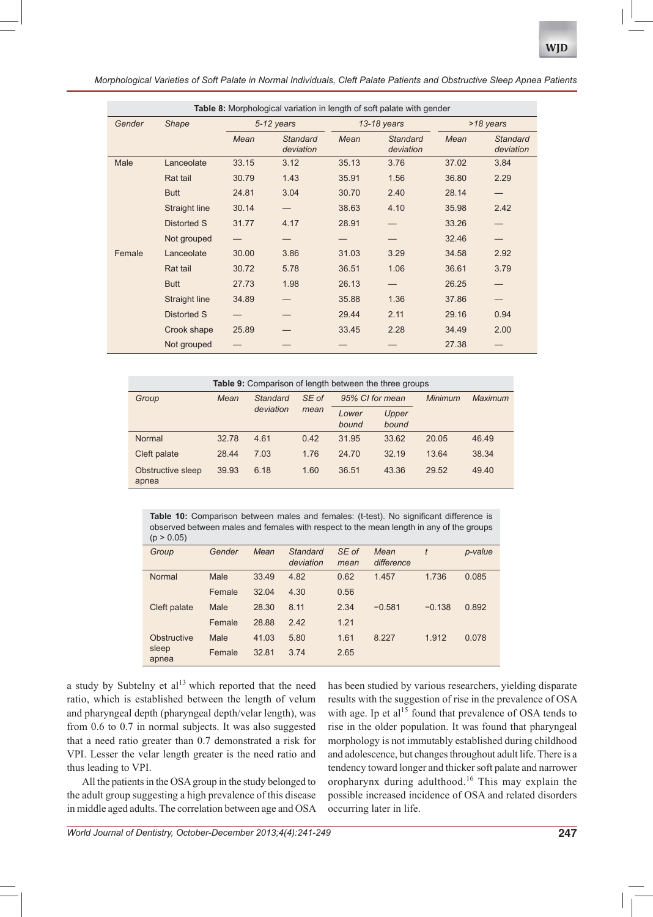*Morphological Varieties of Soft Palate in Normal Individuals, Cleft Palate Patients and Obstructive Sleep Apnea Patients*

|        | Table 8: Morphological variation in length of soft palate with gender |       |                              |       |                              |       |                              |  |  |  |  |
|--------|-----------------------------------------------------------------------|-------|------------------------------|-------|------------------------------|-------|------------------------------|--|--|--|--|
| Gender | <b>Shape</b>                                                          |       | $5-12$ years                 |       | 13-18 years                  |       | >18 years                    |  |  |  |  |
|        |                                                                       | Mean  | <b>Standard</b><br>deviation | Mean  | <b>Standard</b><br>deviation | Mean  | <b>Standard</b><br>deviation |  |  |  |  |
| Male   | Lanceolate                                                            | 33.15 | 3.12                         | 35.13 | 3.76                         | 37.02 | 3.84                         |  |  |  |  |
|        | Rat tail                                                              | 30.79 | 1.43                         | 35.91 | 1.56                         | 36.80 | 2.29                         |  |  |  |  |
|        | <b>Butt</b>                                                           | 24.81 | 3.04                         | 30.70 | 2.40                         | 28.14 |                              |  |  |  |  |
|        | Straight line                                                         | 30.14 |                              | 38.63 | 4.10                         | 35.98 | 2.42                         |  |  |  |  |
|        | Distorted S                                                           | 31.77 | 4.17                         | 28.91 |                              | 33.26 |                              |  |  |  |  |
|        | Not grouped                                                           |       |                              |       |                              | 32.46 |                              |  |  |  |  |
| Female | Lanceolate                                                            | 30.00 | 3.86                         | 31.03 | 3.29                         | 34.58 | 2.92                         |  |  |  |  |
|        | Rat tail                                                              | 30.72 | 5.78                         | 36.51 | 1.06                         | 36.61 | 3.79                         |  |  |  |  |
|        | <b>Butt</b>                                                           | 27.73 | 1.98                         | 26.13 |                              | 26.25 |                              |  |  |  |  |
|        | Straight line                                                         | 34.89 |                              | 35.88 | 1.36                         | 37.86 |                              |  |  |  |  |
|        | Distorted S                                                           |       |                              | 29.44 | 2.11                         | 29.16 | 0.94                         |  |  |  |  |
|        | Crook shape                                                           | 25.89 |                              | 33.45 | 2.28                         | 34.49 | 2.00                         |  |  |  |  |
|        | Not grouped                                                           |       |                              |       |                              | 27.38 |                              |  |  |  |  |

| <b>Table 9:</b> Comparison of length between the three groups |       |           |       |                 |                |         |         |  |  |
|---------------------------------------------------------------|-------|-----------|-------|-----------------|----------------|---------|---------|--|--|
| Group                                                         | Mean  | Standard  | SE of | 95% CI for mean |                | Minimum | Maximum |  |  |
|                                                               |       | deviation | mean  | Lower<br>bound  | Upper<br>bound |         |         |  |  |
| Normal                                                        | 32.78 | 4.61      | 0.42  | 31.95           | 33.62          | 20.05   | 46.49   |  |  |
| Cleft palate                                                  | 28.44 | 7.03      | 1.76  | 24.70           | 32.19          | 13.64   | 38.34   |  |  |
| Obstructive sleep<br>apnea                                    | 39.93 | 6.18      | 1.60  | 36.51           | 43.36          | 29.52   | 49.40   |  |  |

Table 10: Comparison between males and females: (t-test). No significant difference is observed between males and females with respect to the mean length in any of the groups  $(p > 0.05)$ 

| $\mathbf{u}$   |        |       |                       |               |                    |          |         |
|----------------|--------|-------|-----------------------|---------------|--------------------|----------|---------|
| Group          | Gender | Mean  | Standard<br>deviation | SE of<br>mean | Mean<br>difference | t        | p-value |
| Normal         | Male   | 33.49 | 4.82                  | 0.62          | 1.457              | 1.736    | 0.085   |
|                | Female | 32.04 | 4.30                  | 0.56          |                    |          |         |
| Cleft palate   | Male   | 28.30 | 8.11                  | 2.34          | $-0.581$           | $-0.138$ | 0.892   |
|                | Female | 28.88 | 2.42                  | 1.21          |                    |          |         |
| Obstructive    | Male   | 41.03 | 5.80                  | 1.61          | 8.227              | 1.912    | 0.078   |
| sleep<br>apnea | Female | 32.81 | 3.74                  | 2.65          |                    |          |         |

a study by Subtelny et  $al<sup>13</sup>$  which reported that the need ratio, which is established between the length of velum and pharyngeal depth (pharyngeal depth/velar length), was from 0.6 to 0.7 in normal subjects. It was also suggested that a need ratio greater than 0.7 demonstrated a risk for VPI. Lesser the velar length greater is the need ratio and thus leading to VPI.

All the patients in the OSA group in the study belonged to the adult group suggesting a high prevalence of this disease in middle aged adults. The correlation between age and OSA has been studied by various researchers, yielding disparate results with the suggestion of rise in the prevalence of OSA with age. Ip et al<sup>15</sup> found that prevalence of OSA tends to rise in the older population. It was found that pharyngeal morphology is not immutably established during childhood and adolescence, but changes throughout adult life. There is a tendency toward longer and thicker soft palate and narrower oropharynx during adulthood.16 This may explain the possible increased incidence of OSA and related disorders occurring later in life.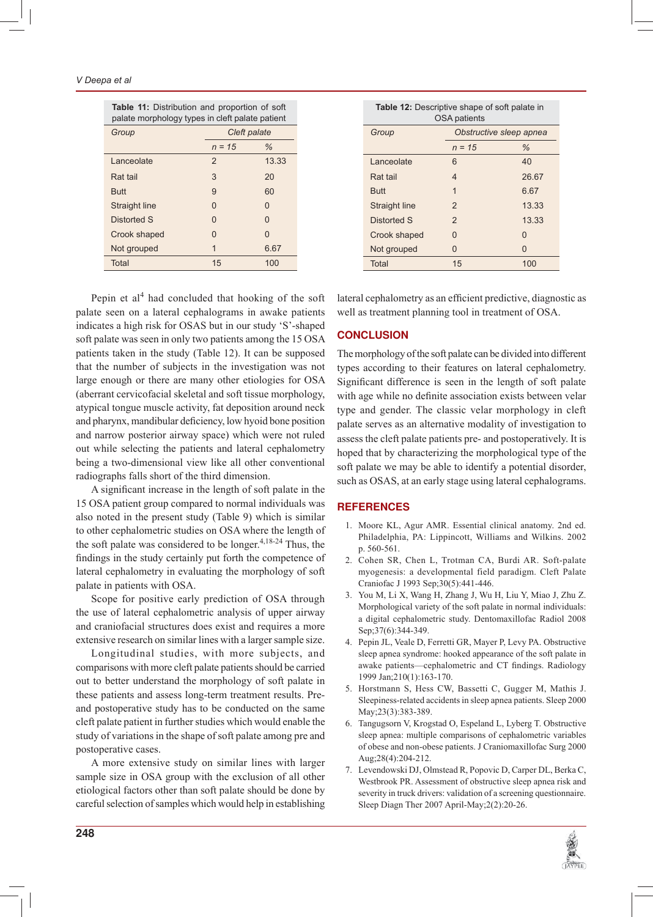#### *V Deepa et al*

| <b>Table 11:</b> Distribution and proportion of soft<br>palate morphology types in cleft palate patient |              |       |  |  |  |  |
|---------------------------------------------------------------------------------------------------------|--------------|-------|--|--|--|--|
| Group                                                                                                   | Cleft palate |       |  |  |  |  |
|                                                                                                         | $n = 15$     | %     |  |  |  |  |
| Lanceolate                                                                                              | $\mathbf{2}$ | 13.33 |  |  |  |  |
| Rat tail                                                                                                | 3            | 20    |  |  |  |  |
| <b>Butt</b>                                                                                             | 9            | 60    |  |  |  |  |
| <b>Straight line</b>                                                                                    | O            | O     |  |  |  |  |
| Distorted S                                                                                             | O            | O     |  |  |  |  |
| Crook shaped                                                                                            | O            | O     |  |  |  |  |
| Not grouped                                                                                             | 1            | 6.67  |  |  |  |  |
| Total                                                                                                   | 15           | 100   |  |  |  |  |

Pepin et al<sup>4</sup> had concluded that hooking of the soft palate seen on a lateral cephalograms in awake patients indicates a high risk for OSAS but in our study 'S'-shaped soft palate was seen in only two patients among the 15 OSA patients taken in the study (Table 12). It can be supposed that the number of subjects in the investigation was not large enough or there are many other etiologies for OSA (aberrant cervicofacial skeletal and soft tissue morphology, atypical tongue muscle activity, fat deposition around neck and pharynx, mandibular deficiency, low hyoid bone position and narrow posterior airway space) which were not ruled out while selecting the patients and lateral cephalometry being a two-dimensional view like all other conventional radiographs falls short of the third dimension.

A significant increase in the length of soft palate in the 15 OSA patient group compared to normal individuals was also noted in the present study (Table 9) which is similar to other cephalometric studies on OSA where the length of the soft palate was considered to be longer. $4,18-24$  Thus, the findings in the study certainly put forth the competence of lateral cephalometry in evaluating the morphology of soft palate in patients with OSA.

Scope for positive early prediction of OSA through the use of lateral cephalometric analysis of upper airway and craniofacial structures does exist and requires a more extensive research on similar lines with a larger sample size.

Longitudinal studies, with more subjects, and comparisons with more cleft palate patients should be carried out to better understand the morphology of soft palate in these patients and assess long-term treatment results. Preand postoperative study has to be conducted on the same cleft palate patient in further studies which would enable the study of variations in the shape of soft palate among pre and postoperative cases.

A more extensive study on similar lines with larger sample size in OSA group with the exclusion of all other etiological factors other than soft palate should be done by careful selection of samples which would help in establishing

| <b>Table 12:</b> Descriptive shape of soft palate in<br>OSA patients |                         |       |
|----------------------------------------------------------------------|-------------------------|-------|
| Group                                                                | Obstructive sleep apnea |       |
|                                                                      | $n = 15$                | %     |
| Lanceolate                                                           | 6                       | 40    |
| Rat tail                                                             | 4                       | 26.67 |
| Butt                                                                 | 1                       | 6.67  |
| <b>Straight line</b>                                                 | $\mathbf{2}$            | 13.33 |
| Distorted S                                                          | $\mathbf{2}$            | 13.33 |
| Crook shaped                                                         | U                       | O     |
| Not grouped                                                          | U                       | O     |
| <b>Total</b>                                                         | 15                      | 100   |

lateral cephalometry as an efficient predictive, diagnostic as well as treatment planning tool in treatment of OSA.

#### **CONCLUSION**

The morphology of the soft palate can be divided into different types according to their features on lateral cephalometry. Significant difference is seen in the length of soft palate with age while no definite association exists between velar type and gender. The classic velar morphology in cleft palate serves as an alternative modality of investigation to assess the cleft palate patients pre- and postoperatively. It is hoped that by characterizing the morphological type of the soft palate we may be able to identify a potential disorder, such as OSAS, at an early stage using lateral cephalograms.

# **REFERENCES**

- 1. Moore KL, Agur AMR. Essential clinical anatomy. 2nd ed. Philadelphia, PA: Lippincott, Williams and Wilkins. 2002 p. 560-561.
- 2. Cohen SR, Chen L, Trotman CA, Burdi AR. Soft-palate myogenesis: a developmental field paradigm. Cleft Palate Craniofac J 1993 Sep;30(5):441-446.
- 3. You M, Li X, Wang H, Zhang J, Wu H, Liu Y, Miao J, Zhu Z. Morphological variety of the soft palate in normal individuals: a digital cephalometric study. Dentomaxillofac Radiol 2008 Sep;37(6):344-349.
- 4. Pepin JL, Veale D, Ferretti GR, Mayer P, Levy PA. Obstructive sleep apnea syndrome: hooked appearance of the soft palate in awake patients—cephalometric and CT findings. Radiology 1999 Jan;210(1):163-170.
- 5. Horstmann S, Hess CW, Bassetti C, Gugger M, Mathis J. Sleepiness-related accidents in sleep apnea patients. Sleep 2000 May;23(3):383-389.
- 6. Tangugsorn V, Krogstad O, Espeland L, Lyberg T. Obstructive sleep apnea: multiple comparisons of cephalometric variables of obese and non-obese patients. J Craniomaxillofac Surg 2000 Aug;28(4):204-212.
- 7. Levendowski DJ, Olmstead R, Popovic D, Carper DL, Berka C, Westbrook PR. Assessment of obstructive sleep apnea risk and severity in truck drivers: validation of a screening questionnaire. Sleep Diagn Ther 2007 April-May;2(2):20-26.